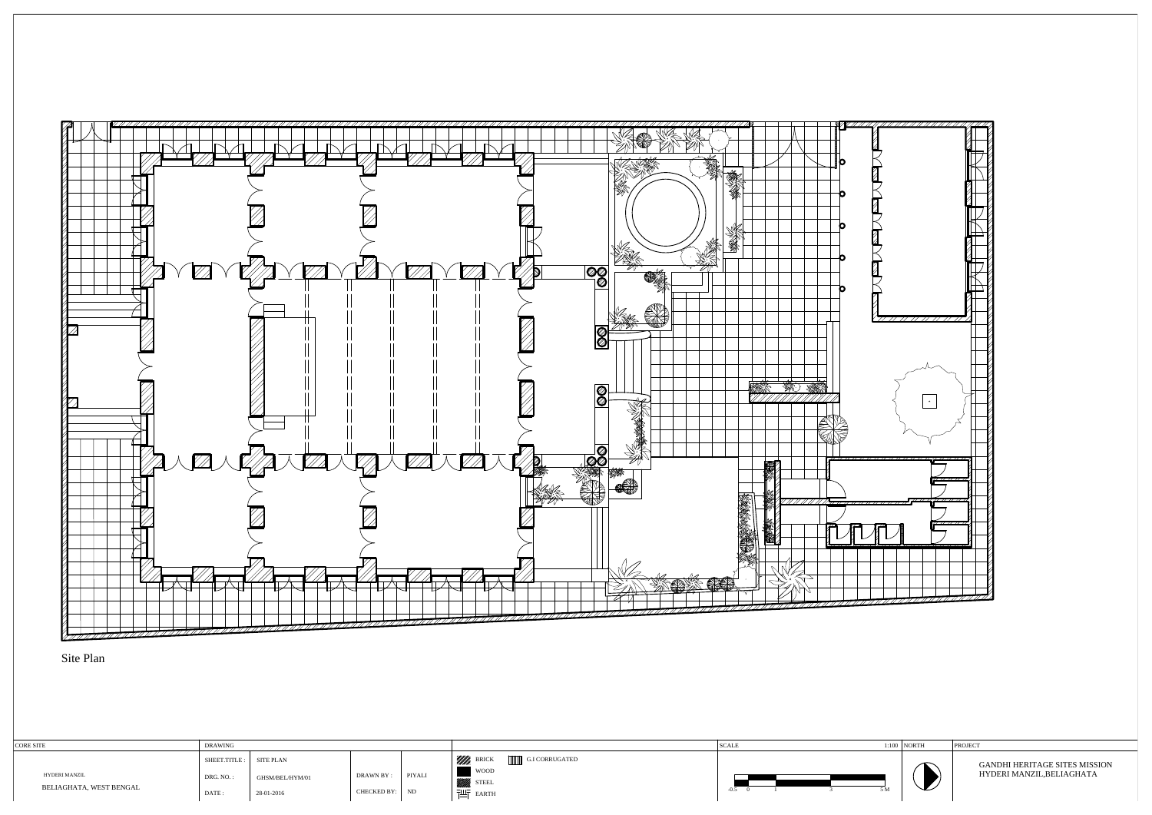| <b>CORE SITE</b>        | <b>DRAWING</b> |                 |                |        |                                   | <b>SCALE</b> |               | $1:100$ NORTH |  |
|-------------------------|----------------|-----------------|----------------|--------|-----------------------------------|--------------|---------------|---------------|--|
|                         | SHEET.TITLE:   | SITE PLAN       |                |        | WWW, BRICK<br>G.I CORRUGATED      |              |               |               |  |
| HYDERI MANZIL           | DRG. NO.:      | GHSM/BEL/HYM/01 | DRAWN BY :     | PIYALI | <b>WOOD</b><br>STEEL <sup>3</sup> |              |               |               |  |
| BELIAGHATA, WEST BENGAL | DATE :         | 28-01-2016      | CHECKED BY: ND |        | 궤도<br>EARTH                       | $-0.5$       | : N.<br>، ۱۷۱ |               |  |





Site Plan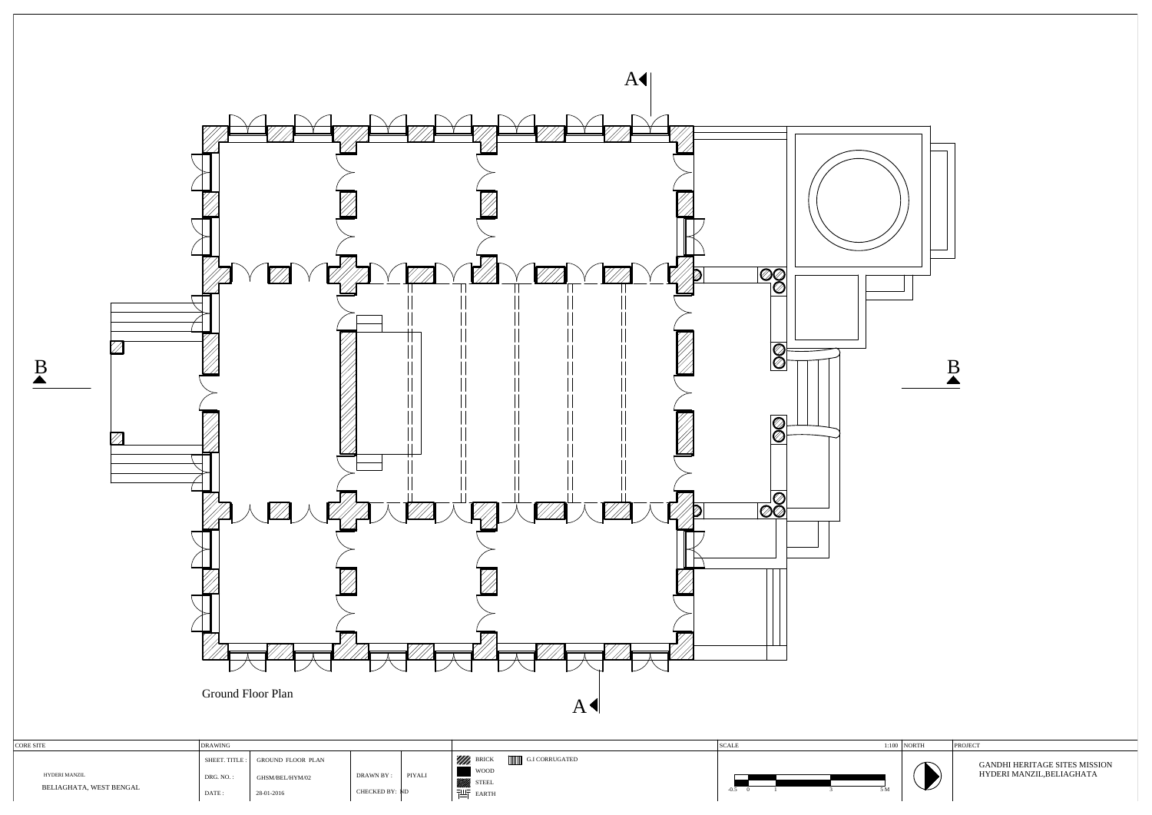CHECKED BY: ND DRAWN BY : PIYALI



|                         | <b>DRAWING</b> |                                 |                       |        |                              | SCAL | $1:100$ NORTH | PROJEC <sup>®</sup>                  |
|-------------------------|----------------|---------------------------------|-----------------------|--------|------------------------------|------|---------------|--------------------------------------|
|                         |                | SHEET. TITLE: GROUND FLOOR PLAN |                       |        | WWW. BRICK<br>G.I CORRUGATED |      | ∽             | <b>GANDHI HERITAGE SITES MISSION</b> |
| HYDERI MANZIL           | DRG. NO.       | GHSM/BEL/HYM/02                 | DRAWN BY:             | PIYALI | <b>WOOD</b>                  |      |               | HYDERI MANZIL, BELIAGHATA            |
| BELIAGHATA, WEST BENGAL | <b>DATE</b>    | 28-01-2016                      | <b>CHECKED BY: ND</b> |        | <b>STEEL</b><br>$71F$ FARTH  |      | $\mathbf{r}$  |                                      |

WOOD **STEEL** EARTH

DRG. NO. :<br>DATE : 28-01-2016

BELIAGHATA, WEST BENGAL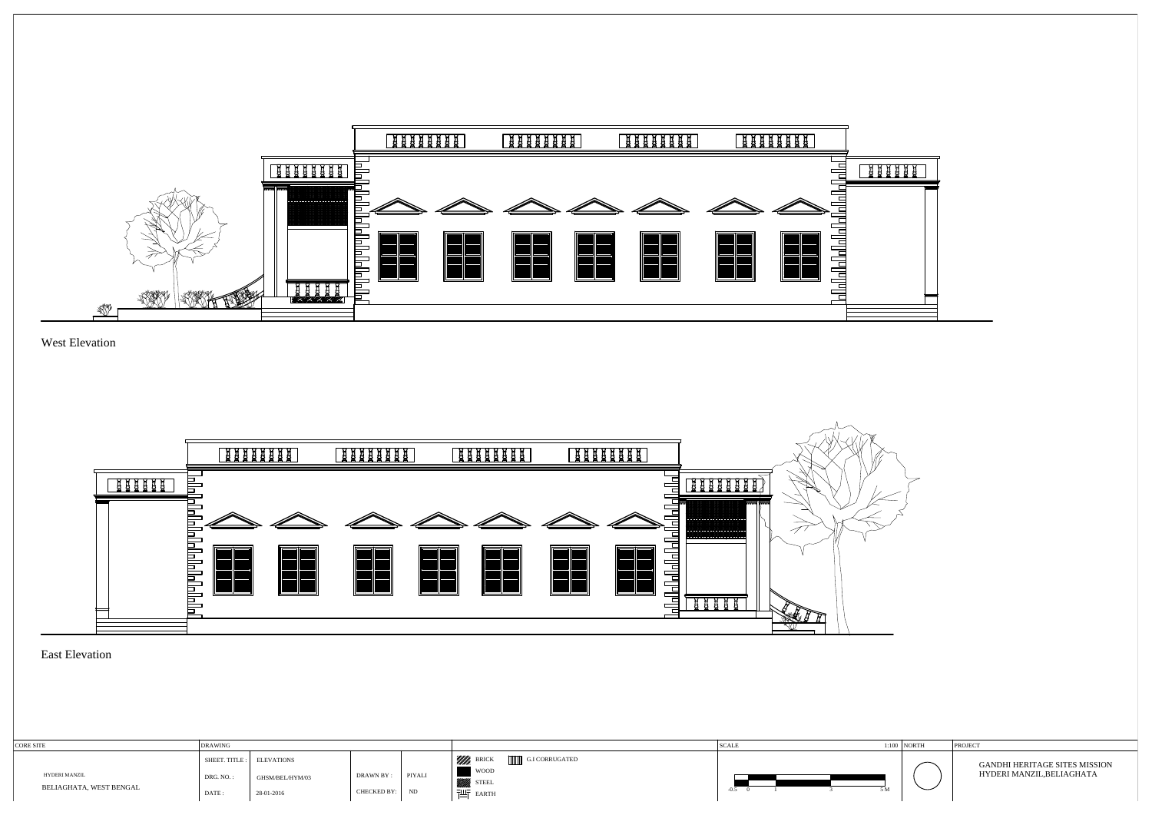

West Elevation



### East Elevation

| <b>CORE SITE</b>                         | <b>DRAWING</b> |                           |             |        |                              | <sup>1</sup> SCALE | $1:100$ NORTH |  |
|------------------------------------------|----------------|---------------------------|-------------|--------|------------------------------|--------------------|---------------|--|
|                                          |                | SHEET. TITLE : ELEVATIONS |             |        | Will BRICK<br>G.I CORRUGATED |                    |               |  |
| HYDERI MANZIL<br>BELIAGHATA, WEST BENGAL | DRG. NO.:      | GHSM/BEL/HYM/03           | DRAWN BY :  | PIYALI | WOOD<br>STEEL <sup>3</sup>   |                    |               |  |
|                                          | DATE:          | 28-01-2016                | CHECKED BY: | ND     | 晋<br><b>EARTH</b>            | 5 N<br>$-0.5$      |               |  |



| 1:100 | <b>NORTH</b> | <b>PROJECT</b>                                                    |
|-------|--------------|-------------------------------------------------------------------|
| 5 M   |              | <b>GANDHI HERITAGE SITES MISSION</b><br>HYDERI MANZIL, BELIAGHATA |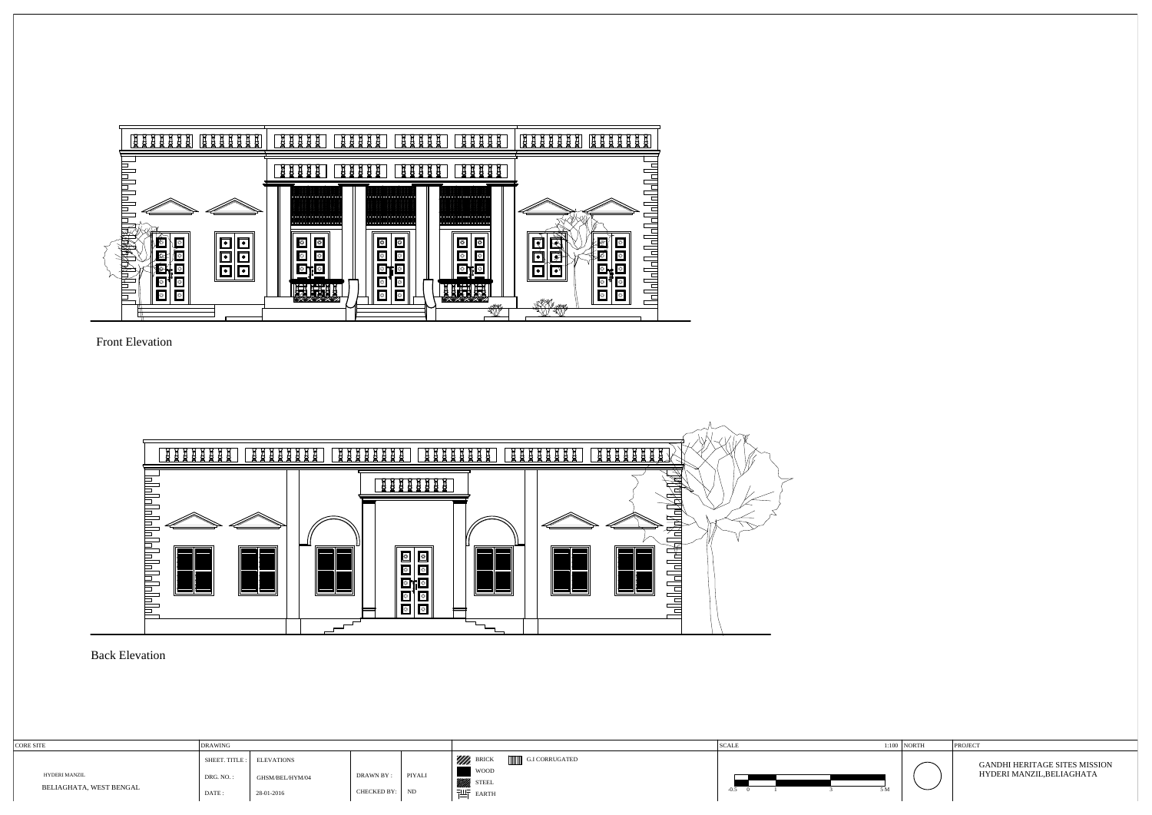

Front Elevation



#### Back Elevation

| 1:100 | <b>INORTH</b> | <b>PROJECT</b>                                                    |  |  |  |  |  |
|-------|---------------|-------------------------------------------------------------------|--|--|--|--|--|
| 5 M   |               | <b>GANDHI HERITAGE SITES MISSION</b><br>HYDERI MANZIL, BELIAGHATA |  |  |  |  |  |

| <b>CORE SITE</b>        | <b>DRAWING</b> |                           |                |         |                              | <b>SCALE</b> | $1:100$ NORTH            |   | PROJECT                              |  |
|-------------------------|----------------|---------------------------|----------------|---------|------------------------------|--------------|--------------------------|---|--------------------------------------|--|
|                         |                | SHEET. TITLE : ELEVATIONS |                |         | WWW. BRICK<br>G.I CORRUGATED |              |                          | ∽ | <b>GANDHI HERITAGE SITES MISSION</b> |  |
| <b>HYDERI MANZIL</b>    | DRG. NO.       | GHSM/BEL/HYM/04           | DRAWN BY:      | PIYALI  | <b>WOOD</b><br><b>STEEL</b>  |              |                          |   | HYDERI MANZIL, BELIAGHATA            |  |
| BELIAGHATA, WEST BENGAL | DATE :         | 28-01-2016                | CHECKED BY: ND | 凹 EARTH | -0.5                         |              | $\overline{\phantom{0}}$ |   |                                      |  |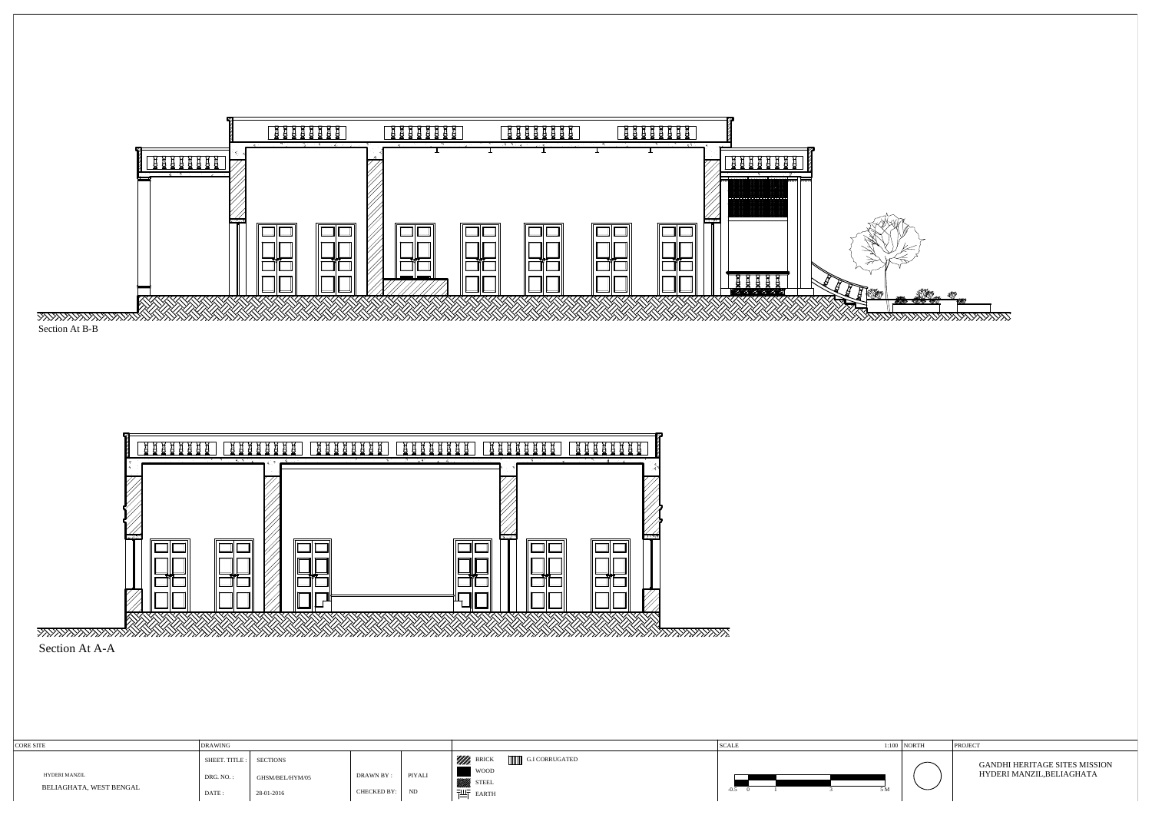

| <b>CORE SITE</b>        | <b>DRAWING</b>          |                 |                           |                                  | SCAL.         | $1:100$ NORTH            | PROJEC                        |
|-------------------------|-------------------------|-----------------|---------------------------|----------------------------------|---------------|--------------------------|-------------------------------|
|                         | SHEET. TITLE : SECTIONS |                 |                           | '////h.<br><b>G.I CORRUGATED</b> |               |                          | GANDHI HERITAGE SITES MISSION |
| HYDERI MANZIL           | DRG. NO. .              | GHSM/BEL/HYM/05 | PIYALI<br><b>DRAWN BY</b> | <b>WOOD</b><br><b>STEEL</b>      |               |                          | HYDERI MANZIL, BELIAGHATA     |
| BELIAGHATA, WEST BENGAL | DATE:                   | 28-01-2016      | CHECKED BY:<br>ND         | EARTH                            | $-0.5$<br>5 M | $\overline{\phantom{0}}$ |                               |

|     | $1:100$ NORTH | <b>PROJECT</b>                                                    |  |  |  |  |  |
|-----|---------------|-------------------------------------------------------------------|--|--|--|--|--|
| 5 M |               | <b>GANDHI HERITAGE SITES MISSION</b><br>HYDERI MANZIL, BELIAGHATA |  |  |  |  |  |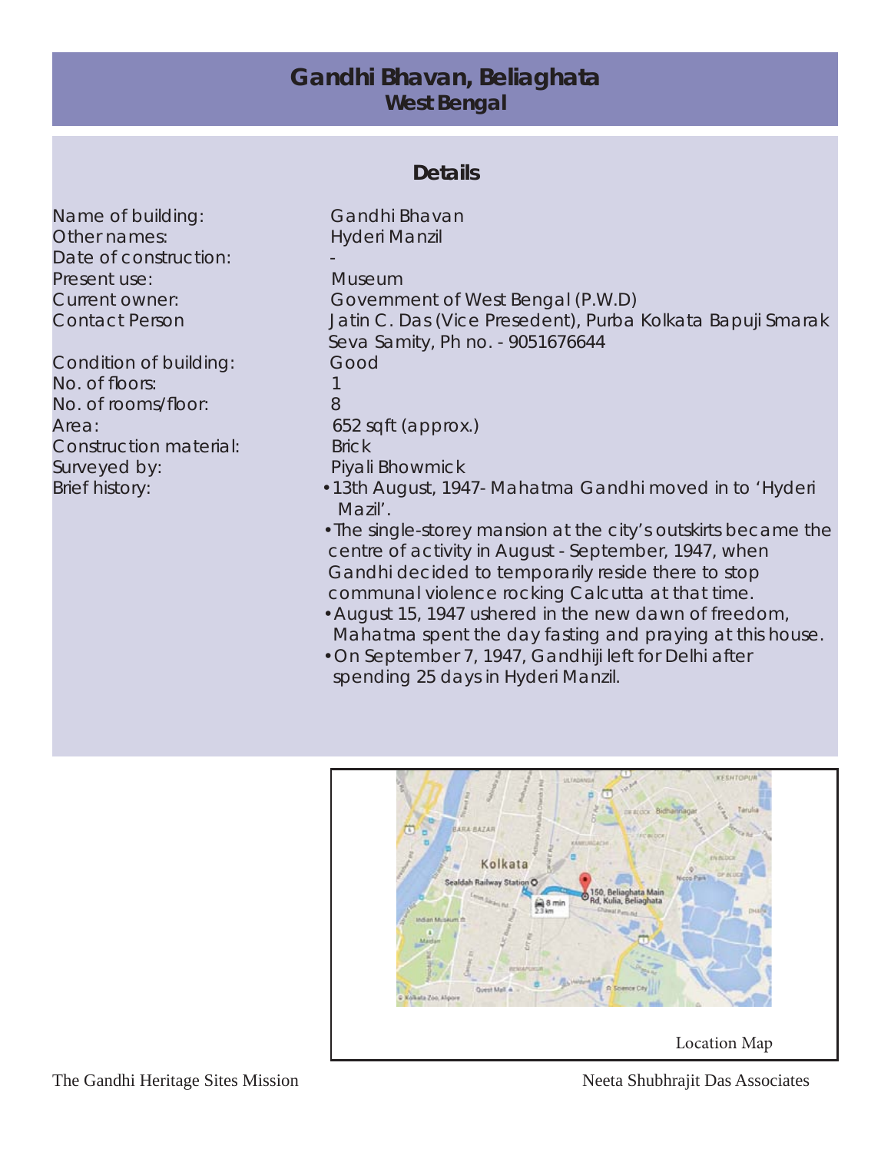### **Gandhi Bhavan, Beliaghata West Bengal**

### **Details**

Name of building: Gandhi Bhavan Other names: Hyderi Manzil Date of construction: Present use: Museum

Condition of building: Good No. of floors: 1 No. of rooms/floor: 8 Area: 652 sqft (approx.) Construction material: Brick Surveyed by: Piyali Bhowmick

Current owner: Government of West Bengal (P.W.D) Contact Person Jatin C. Das (Vice Presedent), Purba Kolkata Bapuji Smarak Seva Samity, Ph no. - 9051676644 Brief history: • •13th August, 1947- Mahatma Gandhi moved in to 'Hyderi Mazil'.

- •The single-storey mansion at the city's outskirts became the centre of activity in August - September, 1947, when Gandhi decided to temporarily reside there to stop communal violence rocking Calcutta at that time.
- •August 15, 1947 ushered in the new dawn of freedom, Mahatma spent the day fasting and praying at this house.
- •On September 7, 1947, Gandhiji left for Delhi after spending 25 days in Hyderi Manzil.